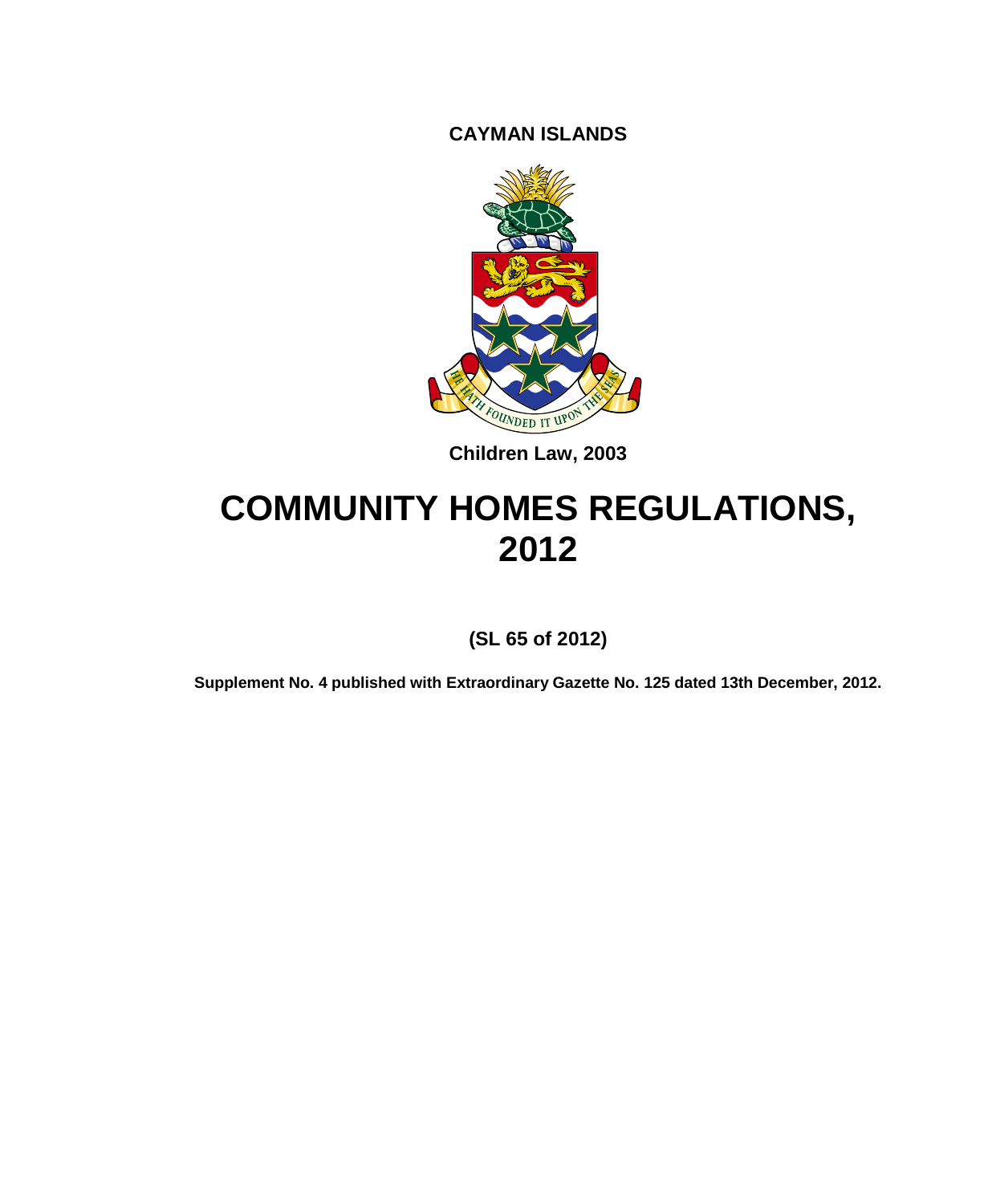**CAYMAN ISLANDS**



**Children Law, 2003**

# **COMMUNITY HOMES REGULATIONS, 2012**

**(SL 65 of 2012)**

**Supplement No. 4 published with Extraordinary Gazette No. 125 dated 13th December, 2012.**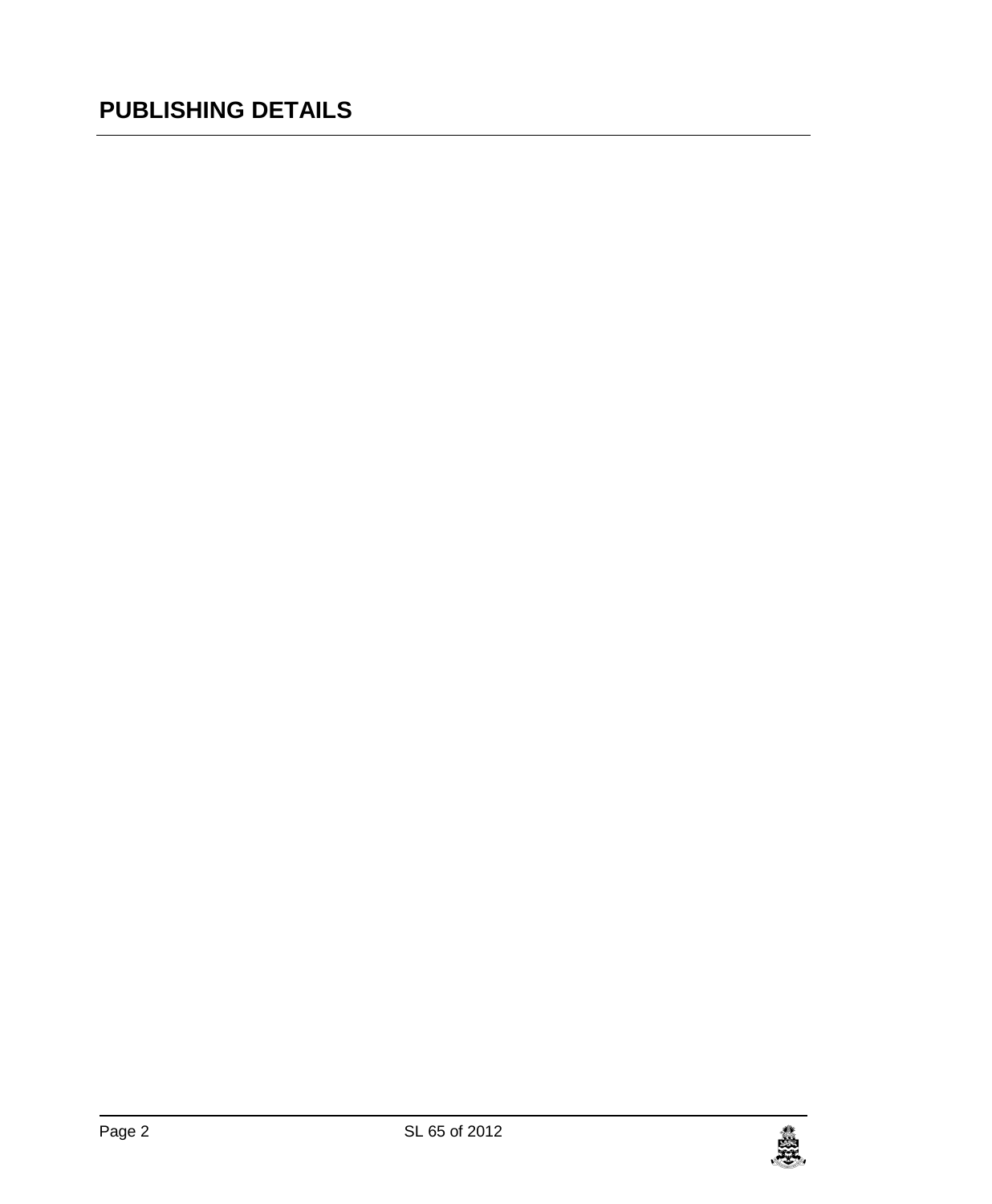# **PUBLISHING DETAILS**

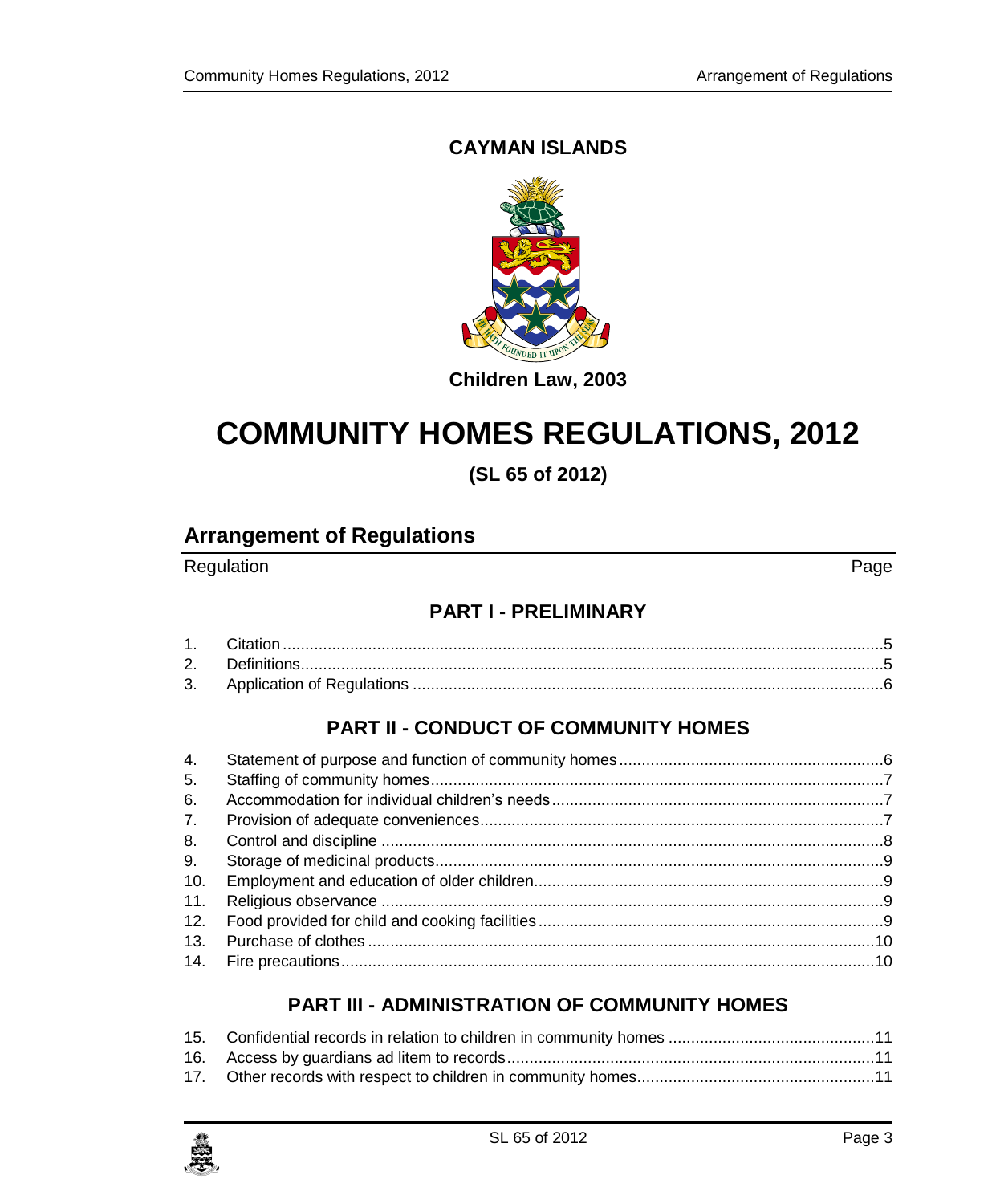### **CAYMAN ISLANDS**



### **Children Law, 2003**

# **COMMUNITY HOMES REGULATIONS, 2012**

**(SL 65 of 2012)**

### **Arrangement of Regulations**

Regulation Page

### **PART I - [PRELIMINARY](#page-4-0)**

### **PART II - [CONDUCT OF COMMUNITY HOMES](#page-5-1)**

| 4.  |  |
|-----|--|
| 5.  |  |
| 6.  |  |
| 7.  |  |
| 8.  |  |
| 9.  |  |
| 10. |  |
| 11. |  |
| 12. |  |
| 13. |  |
|     |  |

### **PART III - [ADMINISTRATION OF COMMUNITY HOMES](#page-10-0)**

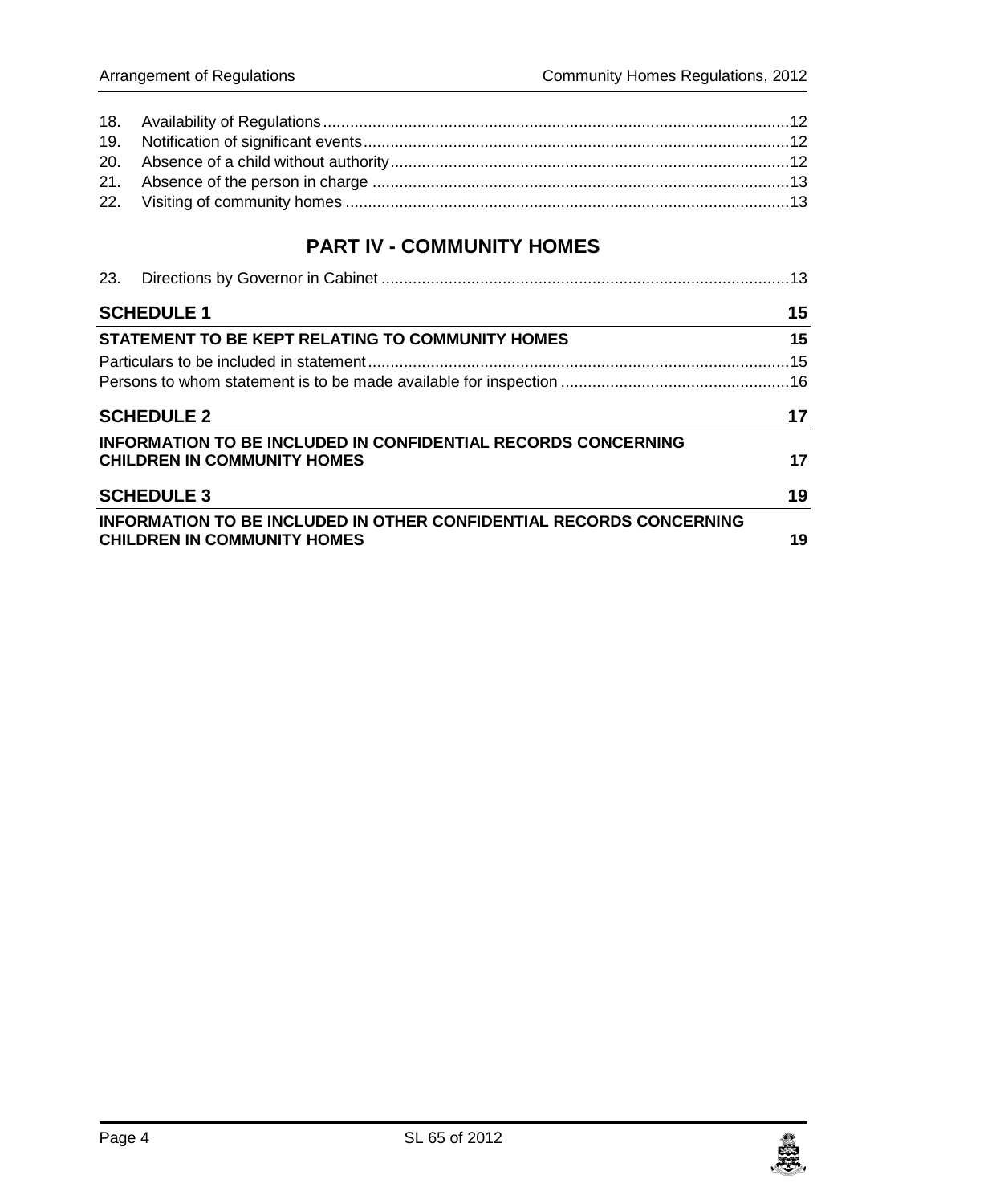### **PART IV - [COMMUNITY HOMES](#page-12-2)**

| <b>SCHEDULE 1</b>                                                                                                |    |
|------------------------------------------------------------------------------------------------------------------|----|
| STATEMENT TO BE KEPT RELATING TO COMMUNITY HOMES                                                                 | 15 |
|                                                                                                                  |    |
|                                                                                                                  |    |
| <b>SCHEDULE 2</b>                                                                                                |    |
| <b>INFORMATION TO BE INCLUDED IN CONFIDENTIAL RECORDS CONCERNING</b><br><b>CHILDREN IN COMMUNITY HOMES</b>       | 17 |
| <b>SCHEDULE 3</b>                                                                                                | 19 |
| <b>INFORMATION TO BE INCLUDED IN OTHER CONFIDENTIAL RECORDS CONCERNING</b><br><b>CHILDREN IN COMMUNITY HOMES</b> | 19 |

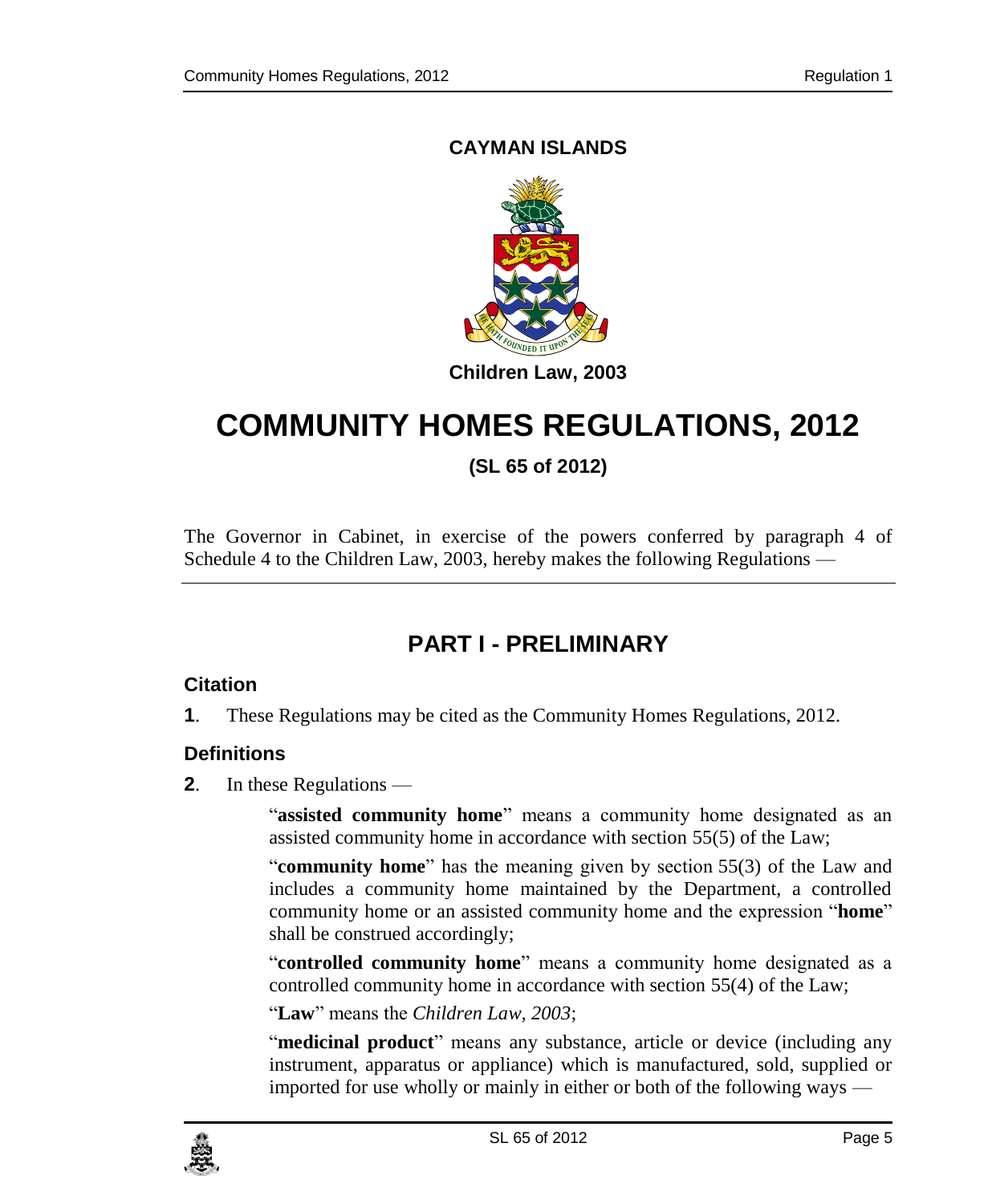### **CAYMAN ISLANDS**



# **COMMUNITY HOMES REGULATIONS, 2012**

**(SL 65 of 2012)**

The Governor in Cabinet, in exercise of the powers conferred by paragraph 4 of Schedule 4 to the Children Law, 2003, hereby makes the following Regulations —

# **PART I - PRELIMINARY**

### <span id="page-4-1"></span><span id="page-4-0"></span>**1. Citation**

**1**. These Regulations may be cited as the Community Homes Regulations, 2012.

### <span id="page-4-2"></span>**2. Definitions**

**2**. In these Regulations —

"**assisted community home**" means a community home designated as an assisted community home in accordance with section 55(5) of the Law;

"**community home**" has the meaning given by section 55(3) of the Law and includes a community home maintained by the Department, a controlled community home or an assisted community home and the expression "**home**" shall be construed accordingly;

"**controlled community home**" means a community home designated as a controlled community home in accordance with section 55(4) of the Law;

"**Law**" means the *Children Law, 2003*;

"**medicinal product**" means any substance, article or device (including any instrument, apparatus or appliance) which is manufactured, sold, supplied or imported for use wholly or mainly in either or both of the following ways —

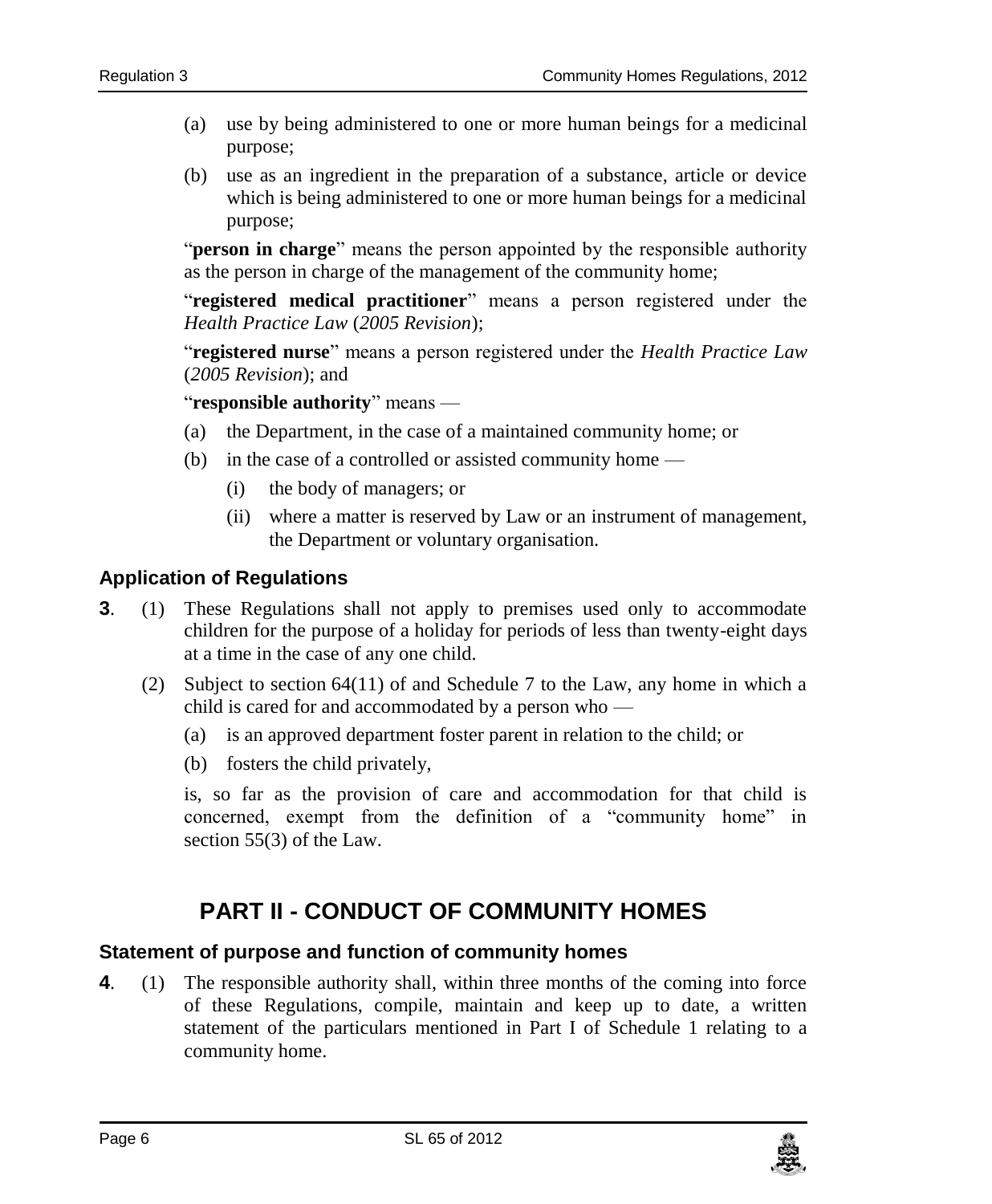- (a) use by being administered to one or more human beings for a medicinal purpose;
- (b) use as an ingredient in the preparation of a substance, article or device which is being administered to one or more human beings for a medicinal purpose;

"**person in charge**" means the person appointed by the responsible authority as the person in charge of the management of the community home;

"**registered medical practitioner**" means a person registered under the *Health Practice Law* (*2005 Revision*);

"**registered nurse**" means a person registered under the *Health Practice Law* (*2005 Revision*); and

"**responsible authority**" means —

- (a) the Department, in the case of a maintained community home; or
- (b) in the case of a controlled or assisted community home
	- (i) the body of managers; or
	- (ii) where a matter is reserved by Law or an instrument of management, the Department or voluntary organisation.

### <span id="page-5-0"></span>**3. Application of Regulations**

- **3**. (1) These Regulations shall not apply to premises used only to accommodate children for the purpose of a holiday for periods of less than twenty-eight days at a time in the case of any one child.
	- (2) Subject to section 64(11) of and Schedule 7 to the Law, any home in which a child is cared for and accommodated by a person who —
		- (a) is an approved department foster parent in relation to the child; or
		- (b) fosters the child privately,

is, so far as the provision of care and accommodation for that child is concerned, exempt from the definition of a "community home" in section 55(3) of the Law.

# **PART II - CONDUCT OF COMMUNITY HOMES**

### <span id="page-5-2"></span><span id="page-5-1"></span>**4. Statement of purpose and function of community homes**

**4**. (1) The responsible authority shall, within three months of the coming into force of these Regulations, compile, maintain and keep up to date, a written statement of the particulars mentioned in Part I of Schedule 1 relating to a community home.

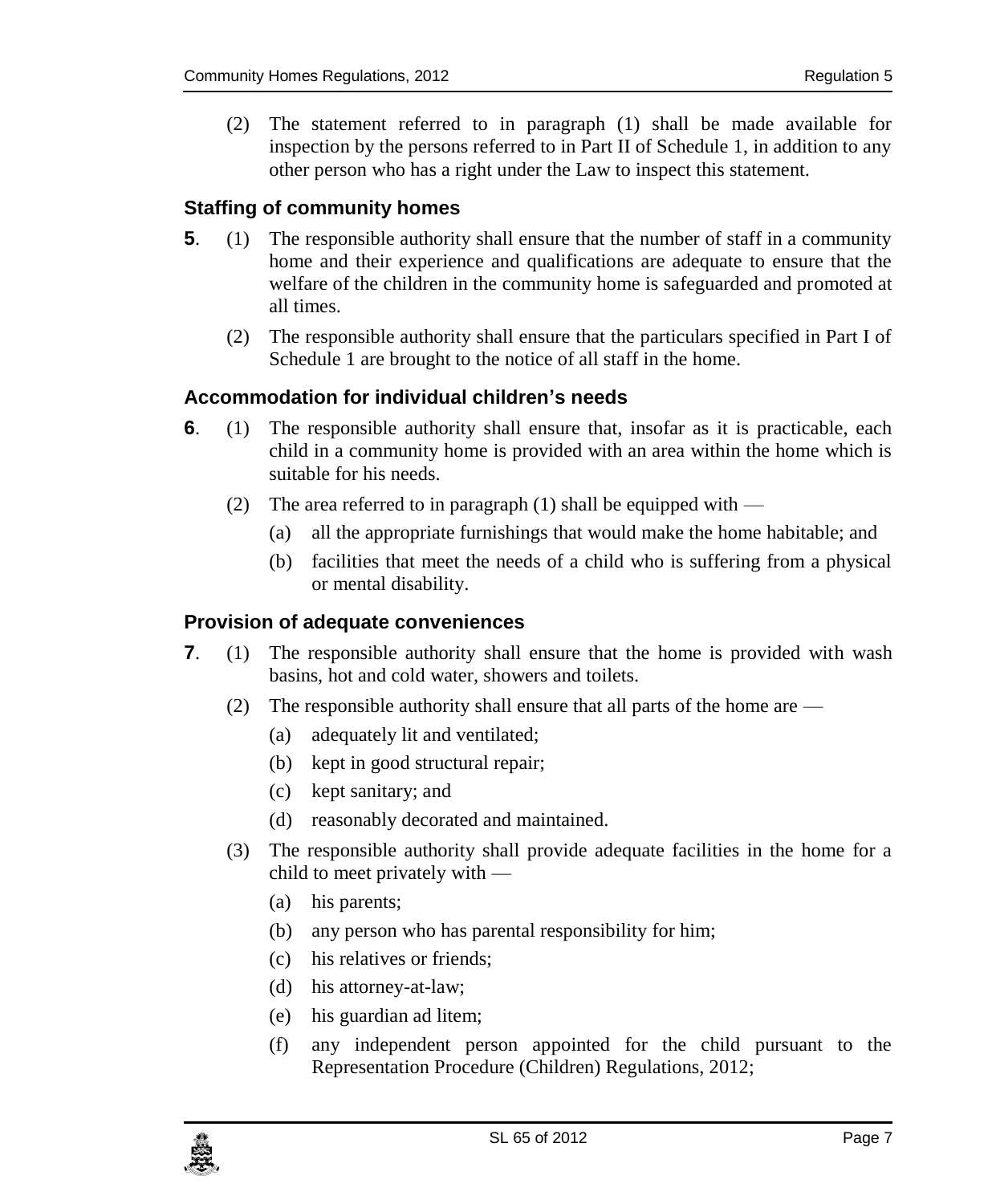(2) The statement referred to in paragraph (1) shall be made available for inspection by the persons referred to in Part II of Schedule 1, in addition to any other person who has a right under the Law to inspect this statement.

### <span id="page-6-0"></span>**5. Staffing of community homes**

- **5**. (1) The responsible authority shall ensure that the number of staff in a community home and their experience and qualifications are adequate to ensure that the welfare of the children in the community home is safeguarded and promoted at all times.
	- (2) The responsible authority shall ensure that the particulars specified in Part I of Schedule 1 are brought to the notice of all staff in the home.

### <span id="page-6-1"></span>**6. Accommodation for individual children's needs**

- **6**. (1) The responsible authority shall ensure that, insofar as it is practicable, each child in a community home is provided with an area within the home which is suitable for his needs.
	- (2) The area referred to in paragraph  $(1)$  shall be equipped with
		- (a) all the appropriate furnishings that would make the home habitable; and
		- (b) facilities that meet the needs of a child who is suffering from a physical or mental disability.

### <span id="page-6-2"></span>**7. Provision of adequate conveniences**

- **7**. (1) The responsible authority shall ensure that the home is provided with wash basins, hot and cold water, showers and toilets.
	- (2) The responsible authority shall ensure that all parts of the home are
		- (a) adequately lit and ventilated;
		- (b) kept in good structural repair;
		- (c) kept sanitary; and
		- (d) reasonably decorated and maintained.
	- (3) The responsible authority shall provide adequate facilities in the home for a child to meet privately with —
		- (a) his parents;
		- (b) any person who has parental responsibility for him;
		- (c) his relatives or friends;
		- (d) his attorney-at-law;
		- (e) his guardian ad litem;
		- (f) any independent person appointed for the child pursuant to the Representation Procedure (Children) Regulations, 2012;

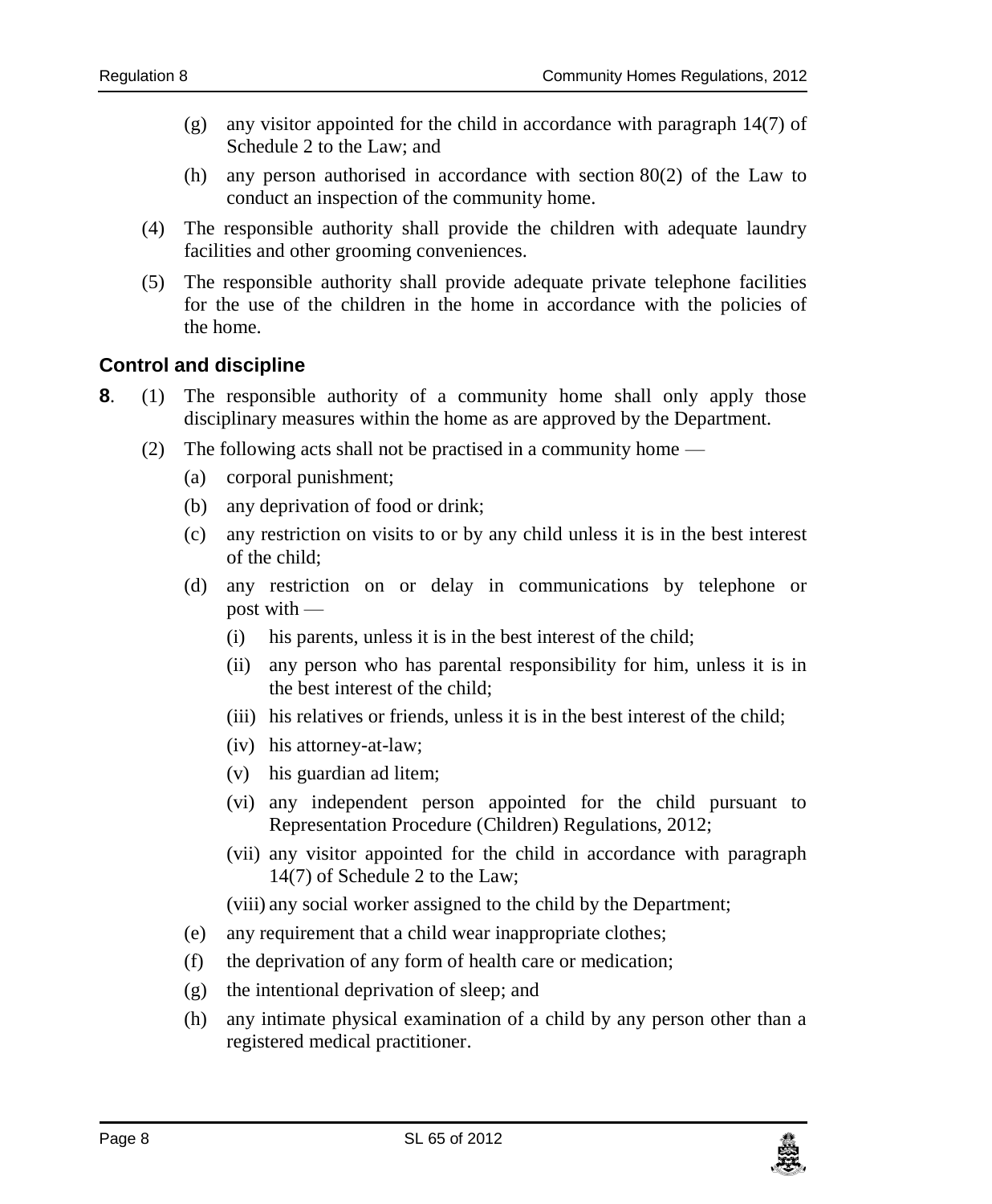- (g) any visitor appointed for the child in accordance with paragraph 14(7) of Schedule 2 to the Law; and
- (h) any person authorised in accordance with section 80(2) of the Law to conduct an inspection of the community home.
- (4) The responsible authority shall provide the children with adequate laundry facilities and other grooming conveniences.
- (5) The responsible authority shall provide adequate private telephone facilities for the use of the children in the home in accordance with the policies of the home.

### <span id="page-7-0"></span>**8. Control and discipline**

- **8**. (1) The responsible authority of a community home shall only apply those disciplinary measures within the home as are approved by the Department.
	- (2) The following acts shall not be practised in a community home
		- (a) corporal punishment;
		- (b) any deprivation of food or drink;
		- (c) any restriction on visits to or by any child unless it is in the best interest of the child;
		- (d) any restriction on or delay in communications by telephone or post with —
			- (i) his parents, unless it is in the best interest of the child;
			- (ii) any person who has parental responsibility for him, unless it is in the best interest of the child;
			- (iii) his relatives or friends, unless it is in the best interest of the child;
			- (iv) his attorney-at-law;
			- (v) his guardian ad litem;
			- (vi) any independent person appointed for the child pursuant to Representation Procedure (Children) Regulations, 2012;
			- (vii) any visitor appointed for the child in accordance with paragraph 14(7) of Schedule 2 to the Law;

(viii) any social worker assigned to the child by the Department;

- (e) any requirement that a child wear inappropriate clothes;
- (f) the deprivation of any form of health care or medication;
- (g) the intentional deprivation of sleep; and
- (h) any intimate physical examination of a child by any person other than a registered medical practitioner.

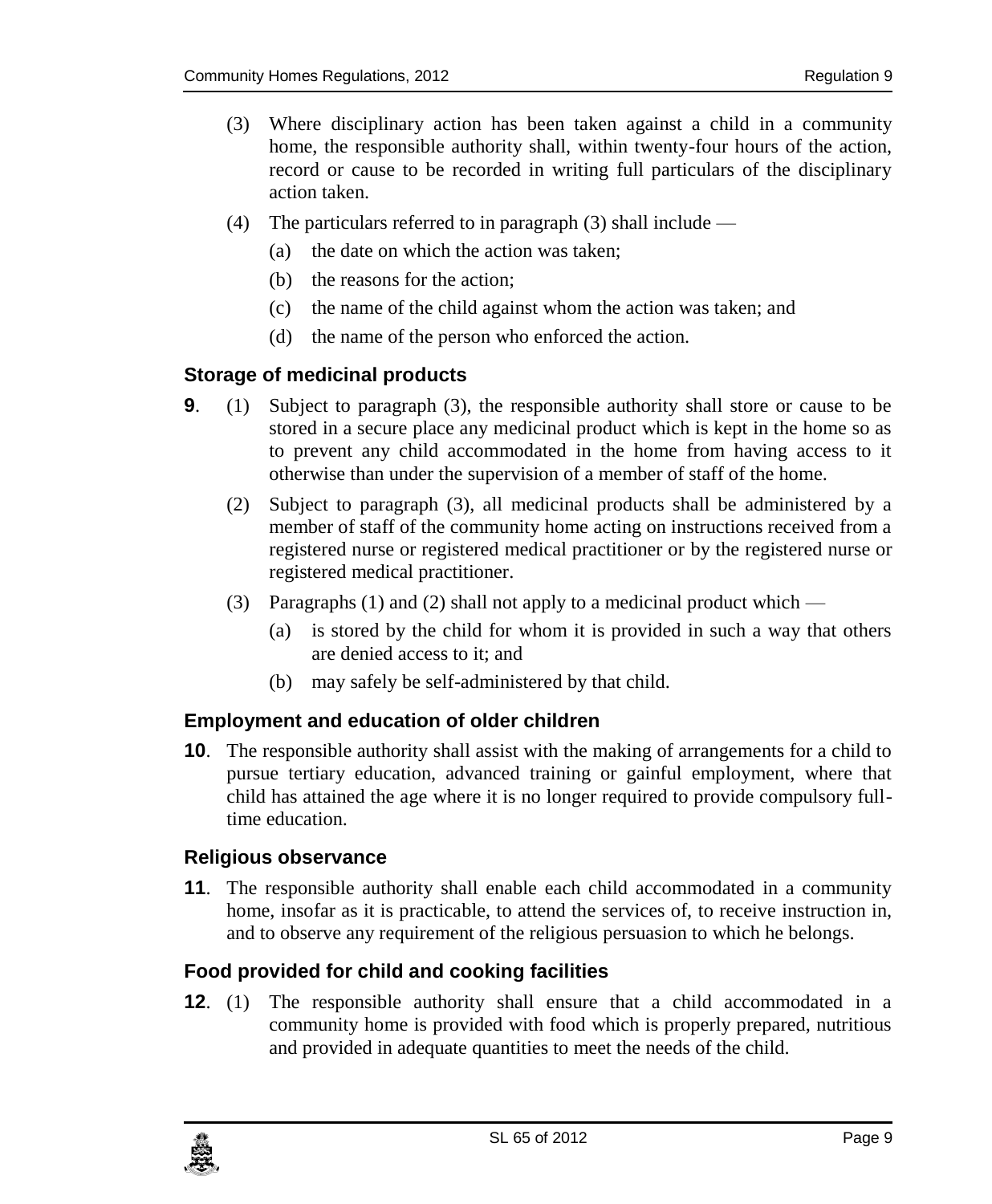- (3) Where disciplinary action has been taken against a child in a community home, the responsible authority shall, within twenty-four hours of the action, record or cause to be recorded in writing full particulars of the disciplinary action taken.
- (4) The particulars referred to in paragraph (3) shall include
	- (a) the date on which the action was taken;
	- (b) the reasons for the action;
	- (c) the name of the child against whom the action was taken; and
	- (d) the name of the person who enforced the action.

### <span id="page-8-0"></span>**9. Storage of medicinal products**

- **9**. (1) Subject to paragraph (3), the responsible authority shall store or cause to be stored in a secure place any medicinal product which is kept in the home so as to prevent any child accommodated in the home from having access to it otherwise than under the supervision of a member of staff of the home.
	- (2) Subject to paragraph (3), all medicinal products shall be administered by a member of staff of the community home acting on instructions received from a registered nurse or registered medical practitioner or by the registered nurse or registered medical practitioner.
	- (3) Paragraphs (1) and (2) shall not apply to a medicinal product which
		- (a) is stored by the child for whom it is provided in such a way that others are denied access to it; and
		- (b) may safely be self-administered by that child.

### <span id="page-8-1"></span>**10. Employment and education of older children**

**10**. The responsible authority shall assist with the making of arrangements for a child to pursue tertiary education, advanced training or gainful employment, where that child has attained the age where it is no longer required to provide compulsory fulltime education.

### <span id="page-8-2"></span>**11. Religious observance**

**11**. The responsible authority shall enable each child accommodated in a community home, insofar as it is practicable, to attend the services of, to receive instruction in, and to observe any requirement of the religious persuasion to which he belongs.

### <span id="page-8-3"></span>**12. Food provided for child and cooking facilities**

**12**. (1) The responsible authority shall ensure that a child accommodated in a community home is provided with food which is properly prepared, nutritious and provided in adequate quantities to meet the needs of the child.

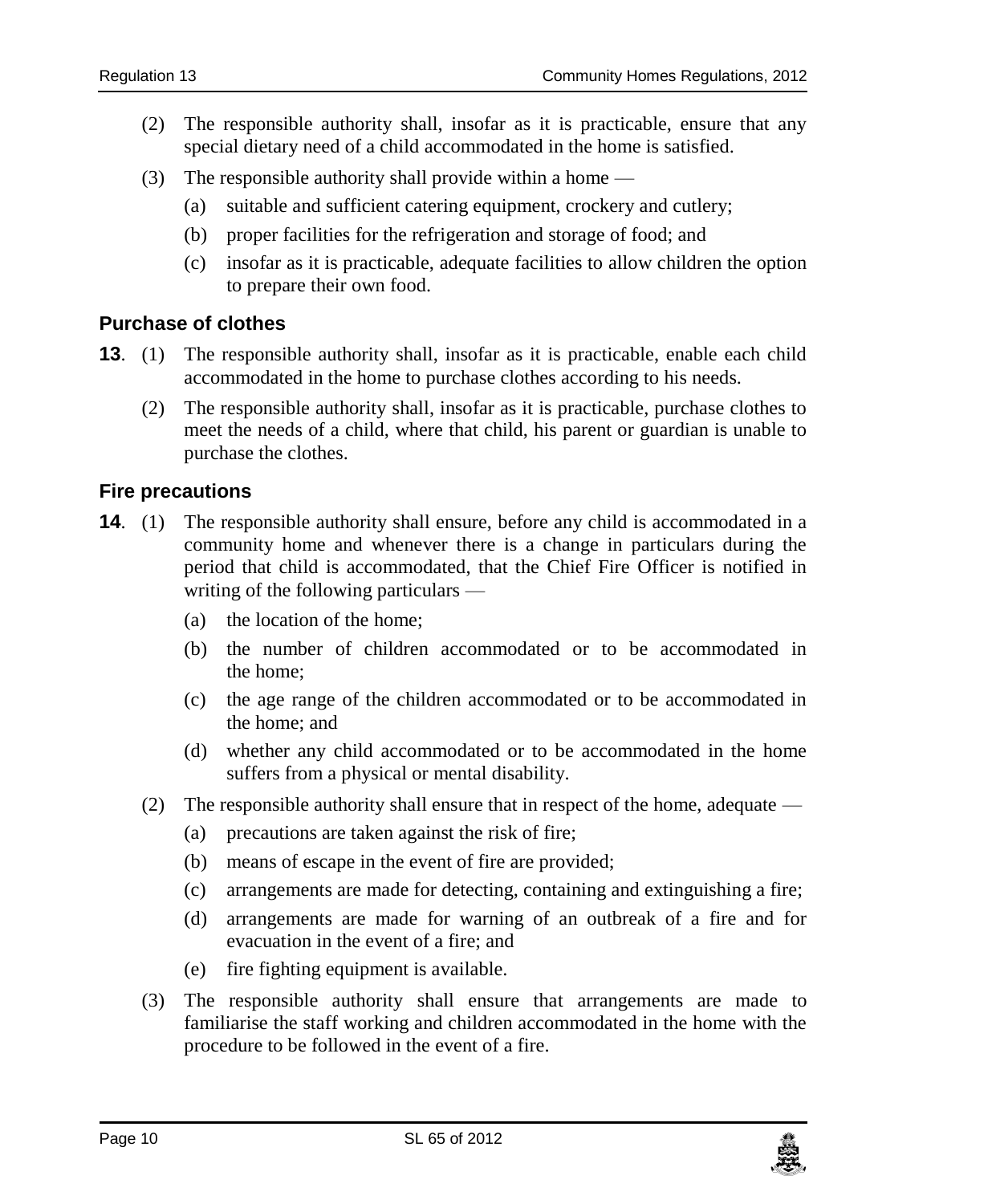- (2) The responsible authority shall, insofar as it is practicable, ensure that any special dietary need of a child accommodated in the home is satisfied.
- (3) The responsible authority shall provide within a home
	- (a) suitable and sufficient catering equipment, crockery and cutlery;
	- (b) proper facilities for the refrigeration and storage of food; and
	- (c) insofar as it is practicable, adequate facilities to allow children the option to prepare their own food.

### <span id="page-9-0"></span>**13. Purchase of clothes**

- **13.** (1) The responsible authority shall, insofar as it is practicable, enable each child accommodated in the home to purchase clothes according to his needs.
	- (2) The responsible authority shall, insofar as it is practicable, purchase clothes to meet the needs of a child, where that child, his parent or guardian is unable to purchase the clothes.

### <span id="page-9-1"></span>**14. Fire precautions**

- **14.** (1) The responsible authority shall ensure, before any child is accommodated in a community home and whenever there is a change in particulars during the period that child is accommodated, that the Chief Fire Officer is notified in writing of the following particulars —
	- (a) the location of the home;
	- (b) the number of children accommodated or to be accommodated in the home;
	- (c) the age range of the children accommodated or to be accommodated in the home; and
	- (d) whether any child accommodated or to be accommodated in the home suffers from a physical or mental disability.
	- (2) The responsible authority shall ensure that in respect of the home, adequate
		- (a) precautions are taken against the risk of fire;
		- (b) means of escape in the event of fire are provided;
		- (c) arrangements are made for detecting, containing and extinguishing a fire;
		- (d) arrangements are made for warning of an outbreak of a fire and for evacuation in the event of a fire; and
		- (e) fire fighting equipment is available.
	- (3) The responsible authority shall ensure that arrangements are made to familiarise the staff working and children accommodated in the home with the procedure to be followed in the event of a fire.

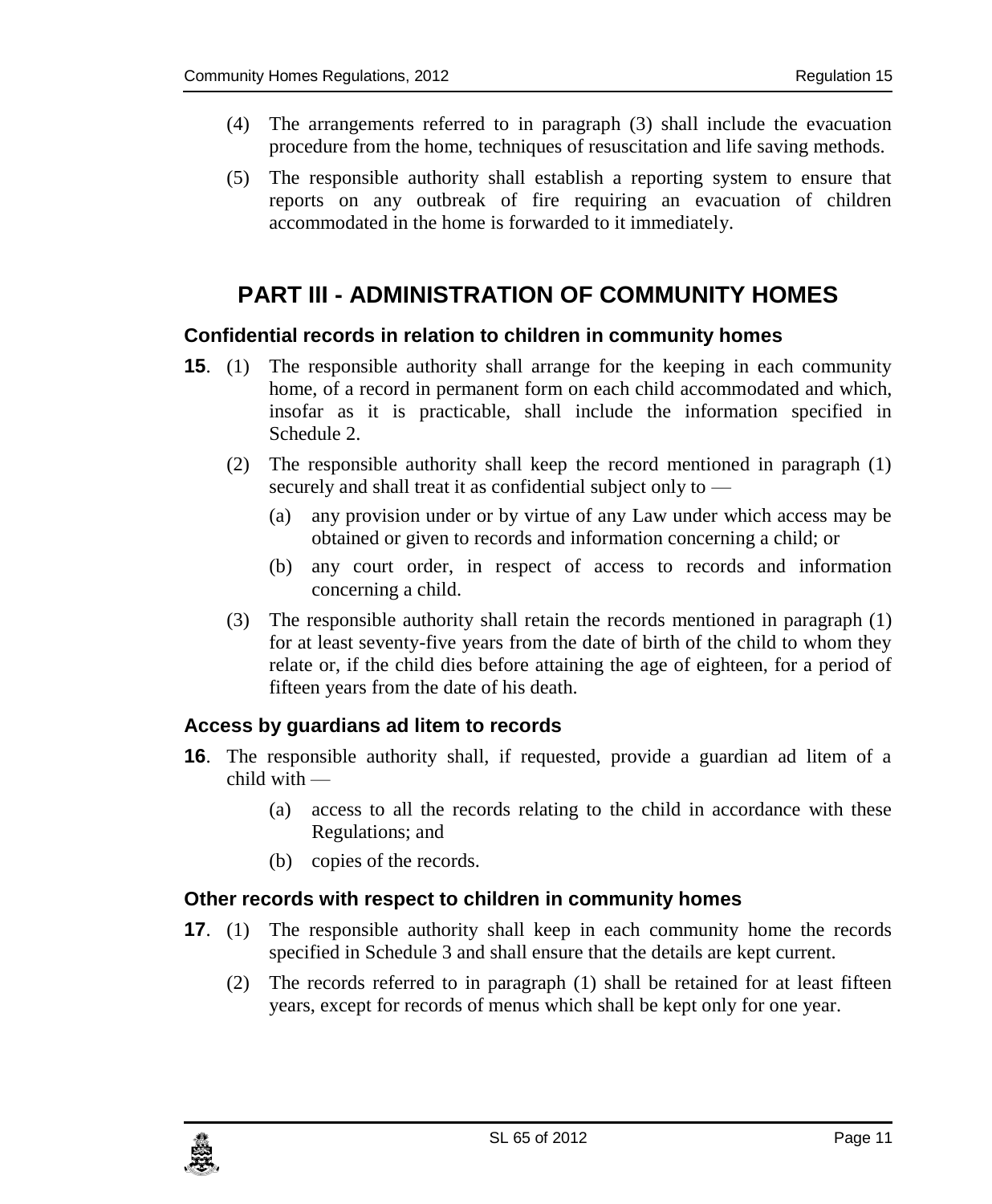- (4) The arrangements referred to in paragraph (3) shall include the evacuation procedure from the home, techniques of resuscitation and life saving methods.
- (5) The responsible authority shall establish a reporting system to ensure that reports on any outbreak of fire requiring an evacuation of children accommodated in the home is forwarded to it immediately.

# <span id="page-10-0"></span>**PART III - ADMINISTRATION OF COMMUNITY HOMES**

### <span id="page-10-1"></span>**15. Confidential records in relation to children in community homes**

- **15**. (1) The responsible authority shall arrange for the keeping in each community home, of a record in permanent form on each child accommodated and which, insofar as it is practicable, shall include the information specified in Schedule 2.
	- (2) The responsible authority shall keep the record mentioned in paragraph (1) securely and shall treat it as confidential subject only to —
		- (a) any provision under or by virtue of any Law under which access may be obtained or given to records and information concerning a child; or
		- (b) any court order, in respect of access to records and information concerning a child.
	- (3) The responsible authority shall retain the records mentioned in paragraph (1) for at least seventy-five years from the date of birth of the child to whom they relate or, if the child dies before attaining the age of eighteen, for a period of fifteen years from the date of his death.

### <span id="page-10-2"></span>**16. Access by guardians ad litem to records**

- **16**. The responsible authority shall, if requested, provide a guardian ad litem of a child with —
	- (a) access to all the records relating to the child in accordance with these Regulations; and
	- (b) copies of the records.

### <span id="page-10-3"></span>**17. Other records with respect to children in community homes**

- **17.** (1) The responsible authority shall keep in each community home the records specified in Schedule 3 and shall ensure that the details are kept current.
	- (2) The records referred to in paragraph (1) shall be retained for at least fifteen years, except for records of menus which shall be kept only for one year.

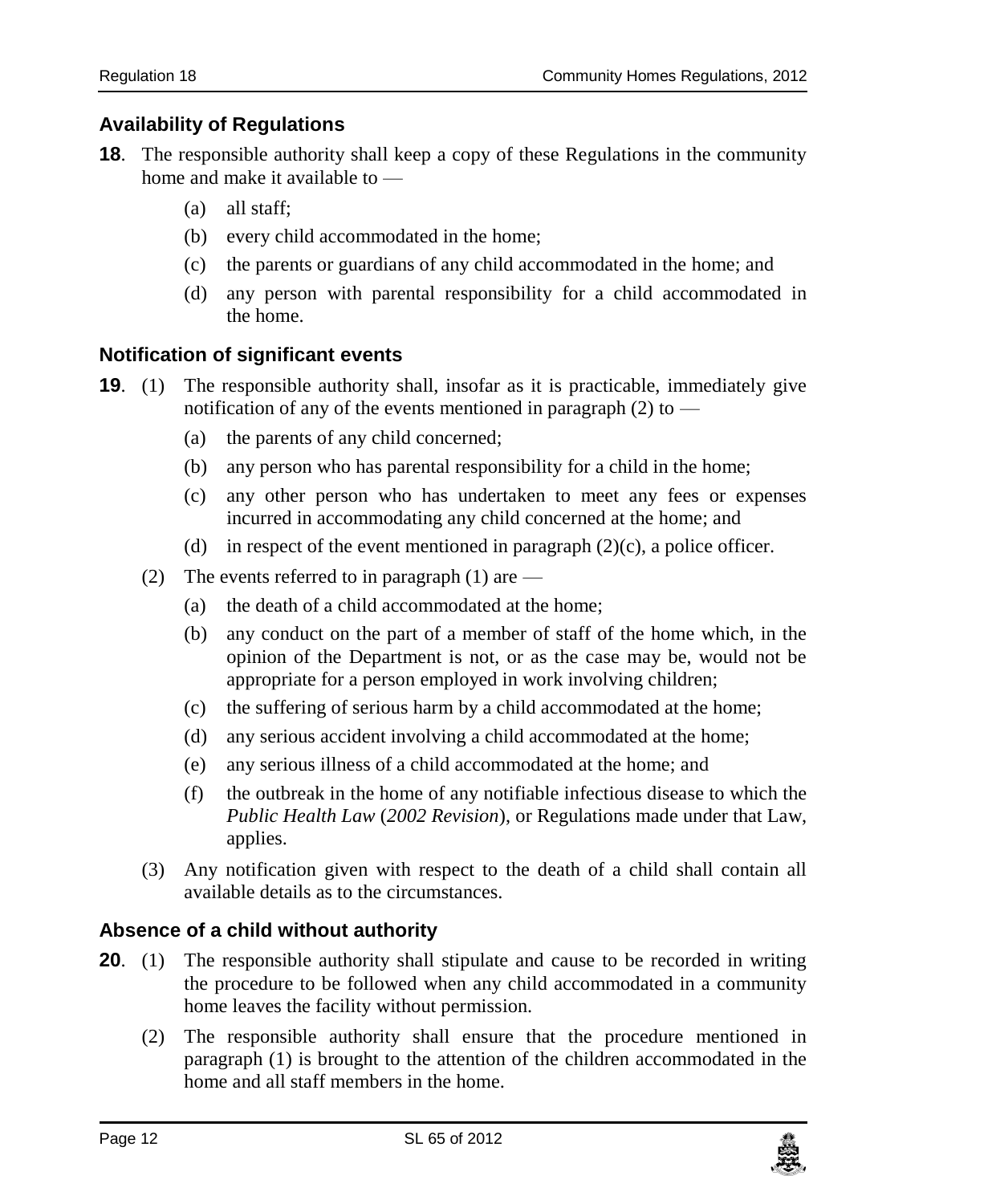### <span id="page-11-0"></span>**18. Availability of Regulations**

- **18**. The responsible authority shall keep a copy of these Regulations in the community home and make it available to —
	- (a) all staff;
	- (b) every child accommodated in the home;
	- (c) the parents or guardians of any child accommodated in the home; and
	- (d) any person with parental responsibility for a child accommodated in the home.

### <span id="page-11-1"></span>**19. Notification of significant events**

- **19.** (1) The responsible authority shall, insofar as it is practicable, immediately give notification of any of the events mentioned in paragraph  $(2)$  to —
	- (a) the parents of any child concerned;
	- (b) any person who has parental responsibility for a child in the home;
	- (c) any other person who has undertaken to meet any fees or expenses incurred in accommodating any child concerned at the home; and
	- (d) in respect of the event mentioned in paragraph  $(2)(c)$ , a police officer.
	- (2) The events referred to in paragraph  $(1)$  are
		- (a) the death of a child accommodated at the home;
		- (b) any conduct on the part of a member of staff of the home which, in the opinion of the Department is not, or as the case may be, would not be appropriate for a person employed in work involving children;
		- (c) the suffering of serious harm by a child accommodated at the home;
		- (d) any serious accident involving a child accommodated at the home;
		- (e) any serious illness of a child accommodated at the home; and
		- (f) the outbreak in the home of any notifiable infectious disease to which the *Public Health Law* (*2002 Revision*), or Regulations made under that Law, applies.
	- (3) Any notification given with respect to the death of a child shall contain all available details as to the circumstances.

### <span id="page-11-2"></span>**20. Absence of a child without authority**

- **20.** (1) The responsible authority shall stipulate and cause to be recorded in writing the procedure to be followed when any child accommodated in a community home leaves the facility without permission.
	- (2) The responsible authority shall ensure that the procedure mentioned in paragraph (1) is brought to the attention of the children accommodated in the home and all staff members in the home.

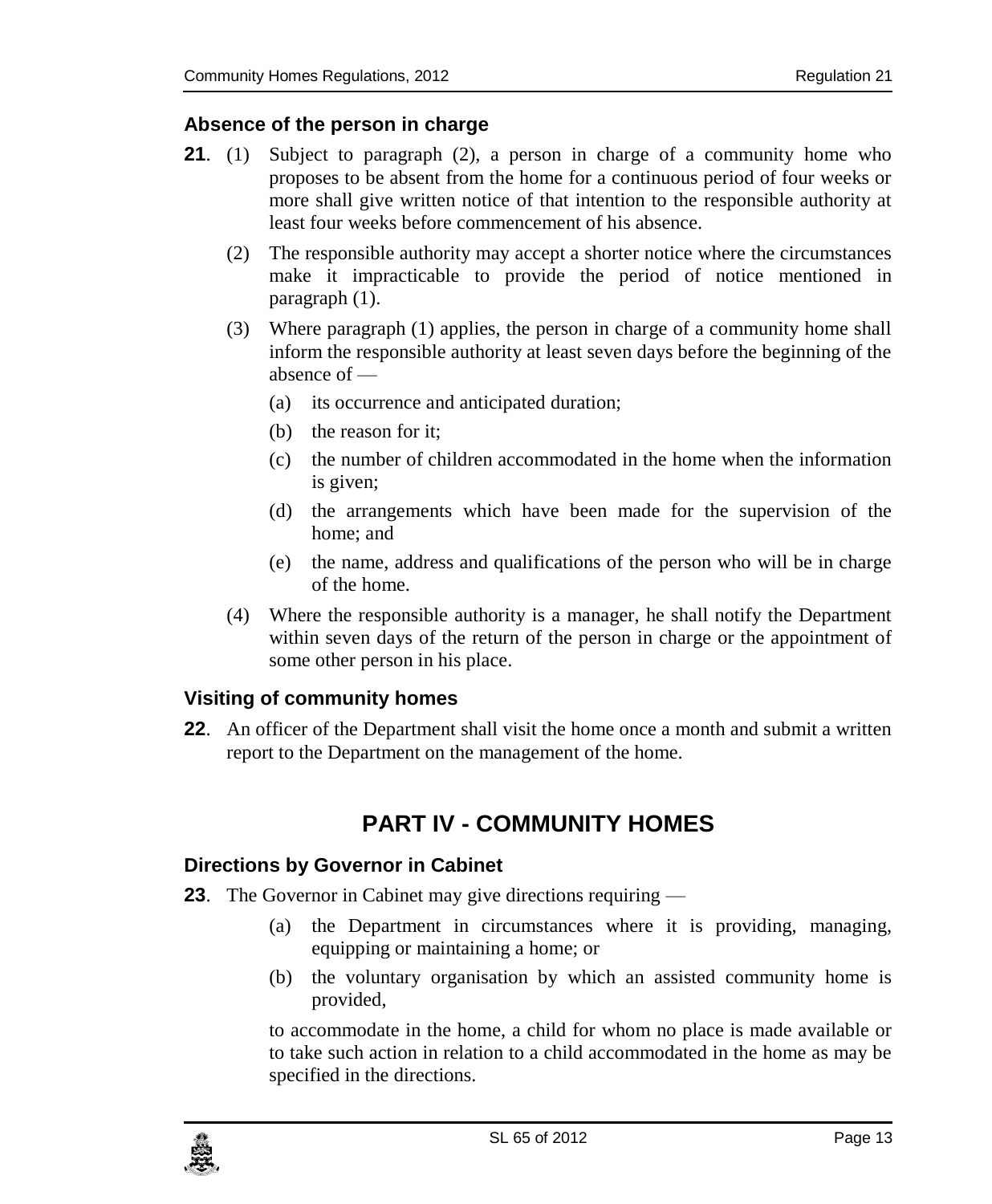### <span id="page-12-0"></span>**21. Absence of the person in charge**

- **21**. (1) Subject to paragraph (2), a person in charge of a community home who proposes to be absent from the home for a continuous period of four weeks or more shall give written notice of that intention to the responsible authority at least four weeks before commencement of his absence.
	- (2) The responsible authority may accept a shorter notice where the circumstances make it impracticable to provide the period of notice mentioned in paragraph (1).
	- (3) Where paragraph (1) applies, the person in charge of a community home shall inform the responsible authority at least seven days before the beginning of the absence of —
		- (a) its occurrence and anticipated duration;
		- (b) the reason for it;
		- (c) the number of children accommodated in the home when the information is given;
		- (d) the arrangements which have been made for the supervision of the home; and
		- (e) the name, address and qualifications of the person who will be in charge of the home.
	- (4) Where the responsible authority is a manager, he shall notify the Department within seven days of the return of the person in charge or the appointment of some other person in his place.

### <span id="page-12-1"></span>**22. Visiting of community homes**

<span id="page-12-2"></span>**22**. An officer of the Department shall visit the home once a month and submit a written report to the Department on the management of the home.

## **PART IV - COMMUNITY HOMES**

### <span id="page-12-3"></span>**23. Directions by Governor in Cabinet**

- **23**. The Governor in Cabinet may give directions requiring
	- (a) the Department in circumstances where it is providing, managing, equipping or maintaining a home; or
	- (b) the voluntary organisation by which an assisted community home is provided,

to accommodate in the home, a child for whom no place is made available or to take such action in relation to a child accommodated in the home as may be specified in the directions.

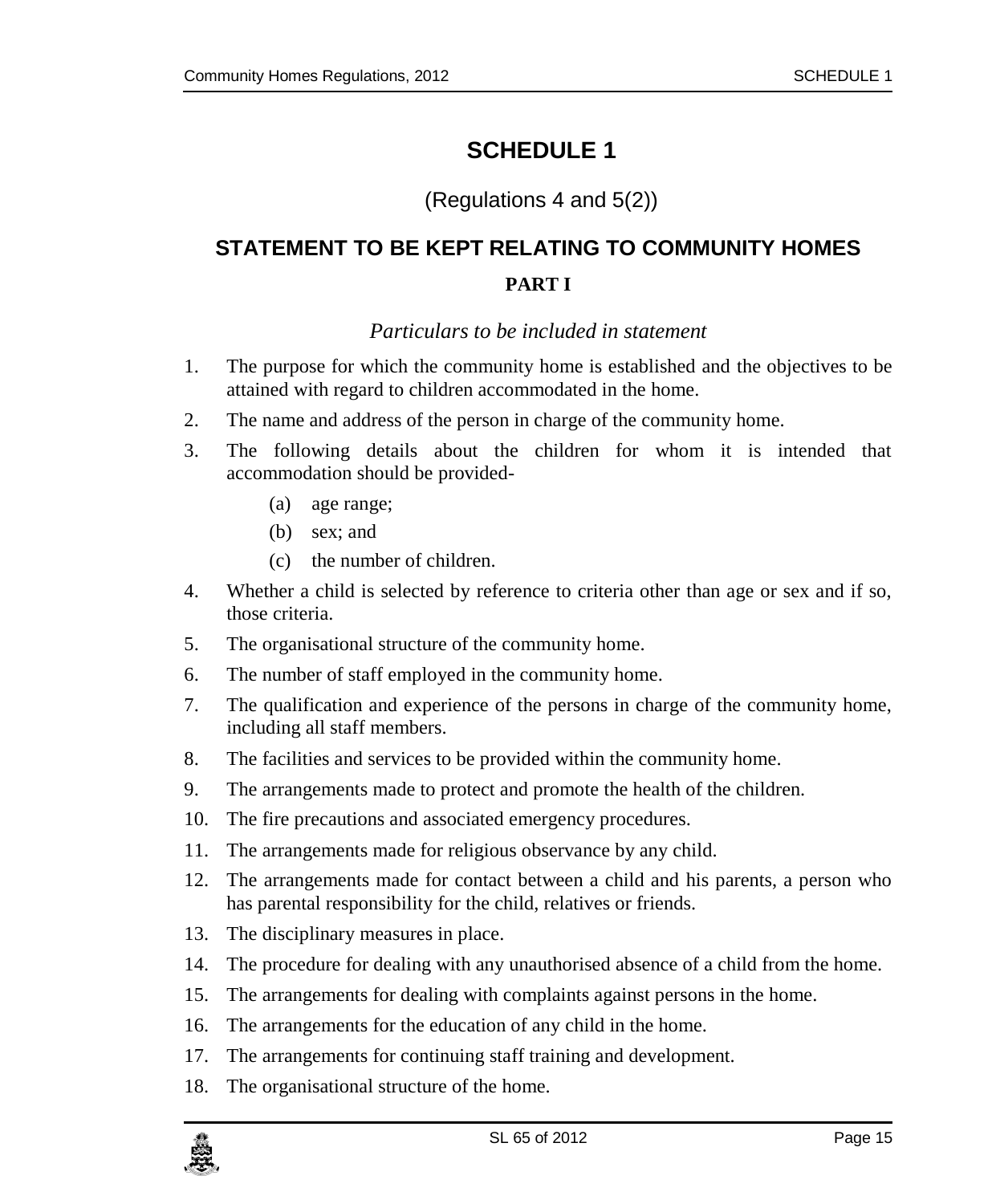# <span id="page-14-0"></span>**SCHEDULE 1**

### (Regulations 4 and 5(2))

# <span id="page-14-1"></span>**STATEMENT TO BE KEPT RELATING TO COMMUNITY HOMES PART I**

### *Particulars to be included in statement*

- <span id="page-14-2"></span>1. The purpose for which the community home is established and the objectives to be attained with regard to children accommodated in the home.
- 2. The name and address of the person in charge of the community home.
- 3. The following details about the children for whom it is intended that accommodation should be provided-
	- (a) age range;
	- (b) sex; and
	- (c) the number of children.
- 4. Whether a child is selected by reference to criteria other than age or sex and if so, those criteria.
- 5. The organisational structure of the community home.
- 6. The number of staff employed in the community home.
- 7. The qualification and experience of the persons in charge of the community home, including all staff members.
- 8. The facilities and services to be provided within the community home.
- 9. The arrangements made to protect and promote the health of the children.
- 10. The fire precautions and associated emergency procedures.
- 11. The arrangements made for religious observance by any child.
- 12. The arrangements made for contact between a child and his parents, a person who has parental responsibility for the child, relatives or friends.
- 13. The disciplinary measures in place.
- 14. The procedure for dealing with any unauthorised absence of a child from the home.
- 15. The arrangements for dealing with complaints against persons in the home.
- 16. The arrangements for the education of any child in the home.
- 17. The arrangements for continuing staff training and development.
- 18. The organisational structure of the home.

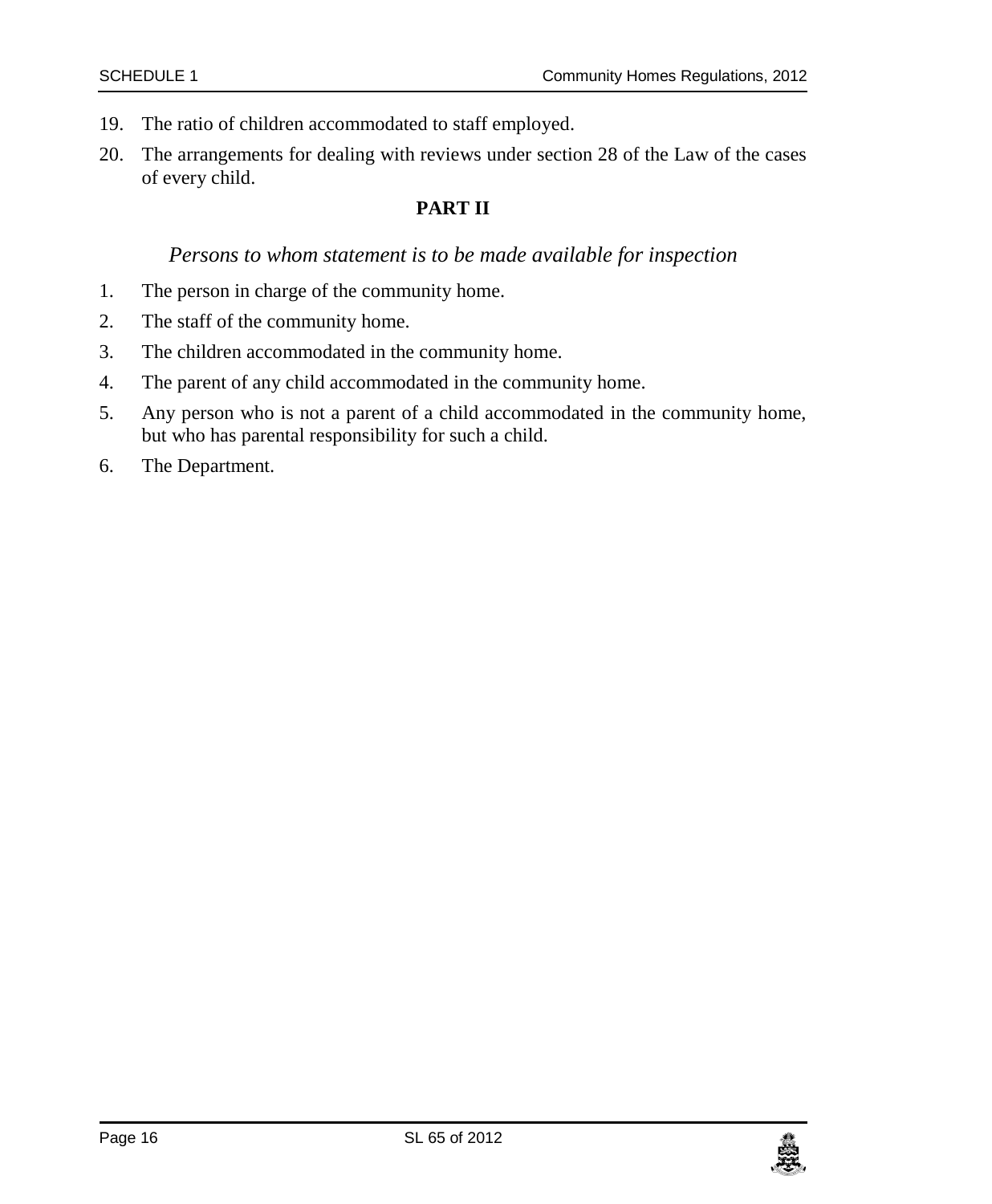- 19. The ratio of children accommodated to staff employed.
- 20. The arrangements for dealing with reviews under section 28 of the Law of the cases of every child.

#### **PART II**

### *Persons to whom statement is to be made available for inspection*

- <span id="page-15-0"></span>1. The person in charge of the community home.
- 2. The staff of the community home.
- 3. The children accommodated in the community home.
- 4. The parent of any child accommodated in the community home.
- 5. Any person who is not a parent of a child accommodated in the community home, but who has parental responsibility for such a child.
- 6. The Department.

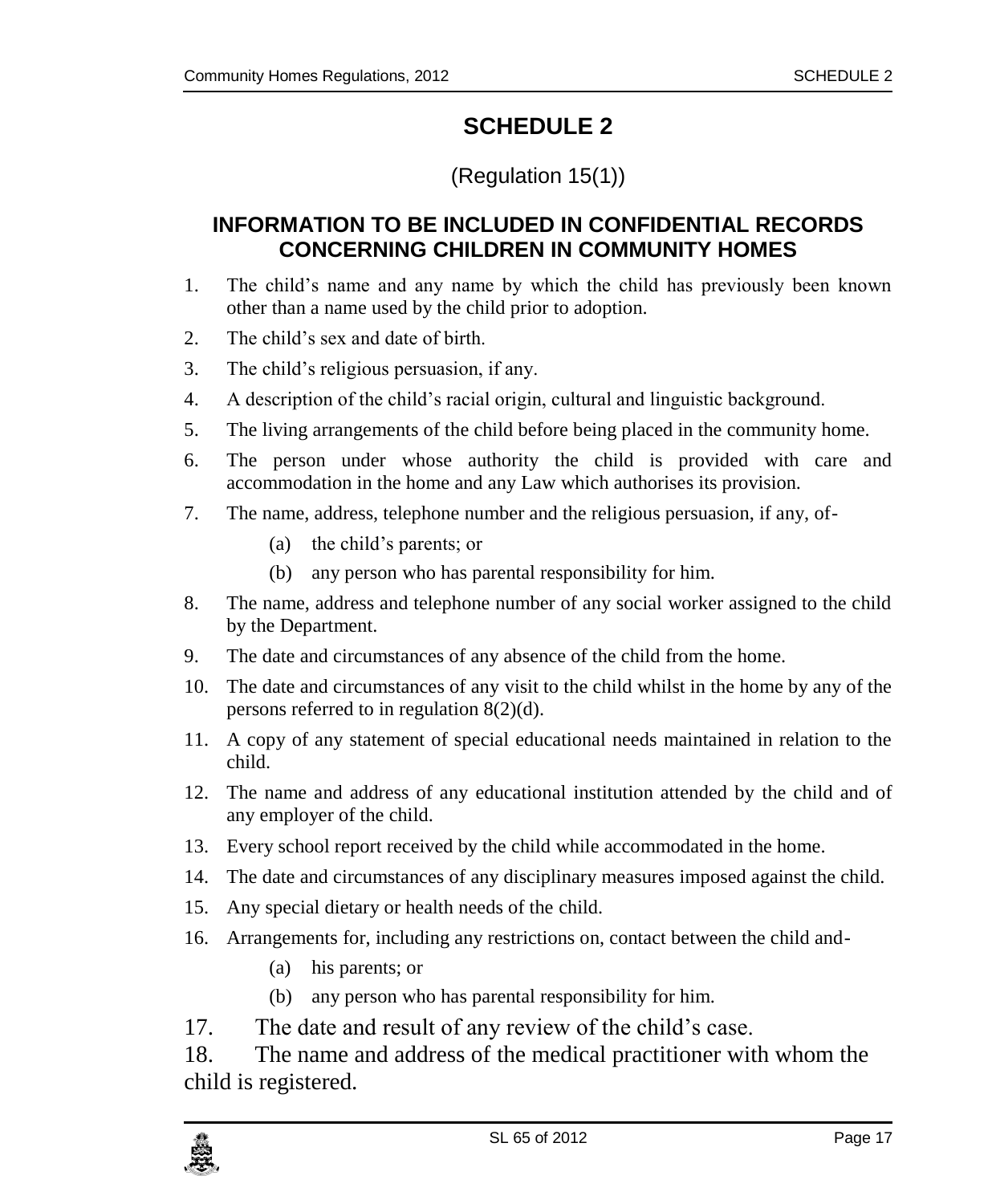# **SCHEDULE 2**

## (Regulation 15(1))

## <span id="page-16-1"></span><span id="page-16-0"></span>**INFORMATION TO BE INCLUDED IN CONFIDENTIAL RECORDS CONCERNING CHILDREN IN COMMUNITY HOMES**

- 1. The child's name and any name by which the child has previously been known other than a name used by the child prior to adoption.
- 2. The child's sex and date of birth.
- 3. The child's religious persuasion, if any.
- 4. A description of the child's racial origin, cultural and linguistic background.
- 5. The living arrangements of the child before being placed in the community home.
- 6. The person under whose authority the child is provided with care and accommodation in the home and any Law which authorises its provision.
- 7. The name, address, telephone number and the religious persuasion, if any, of-
	- (a) the child's parents; or
	- (b) any person who has parental responsibility for him.
- 8. The name, address and telephone number of any social worker assigned to the child by the Department.
- 9. The date and circumstances of any absence of the child from the home.
- 10. The date and circumstances of any visit to the child whilst in the home by any of the persons referred to in regulation 8(2)(d).
- 11. A copy of any statement of special educational needs maintained in relation to the child.
- 12. The name and address of any educational institution attended by the child and of any employer of the child.
- 13. Every school report received by the child while accommodated in the home.
- 14. The date and circumstances of any disciplinary measures imposed against the child.
- 15. Any special dietary or health needs of the child.
- 16. Arrangements for, including any restrictions on, contact between the child and-
	- (a) his parents; or
	- (b) any person who has parental responsibility for him.
- 17. The date and result of any review of the child's case.

18. The name and address of the medical practitioner with whom the child is registered.

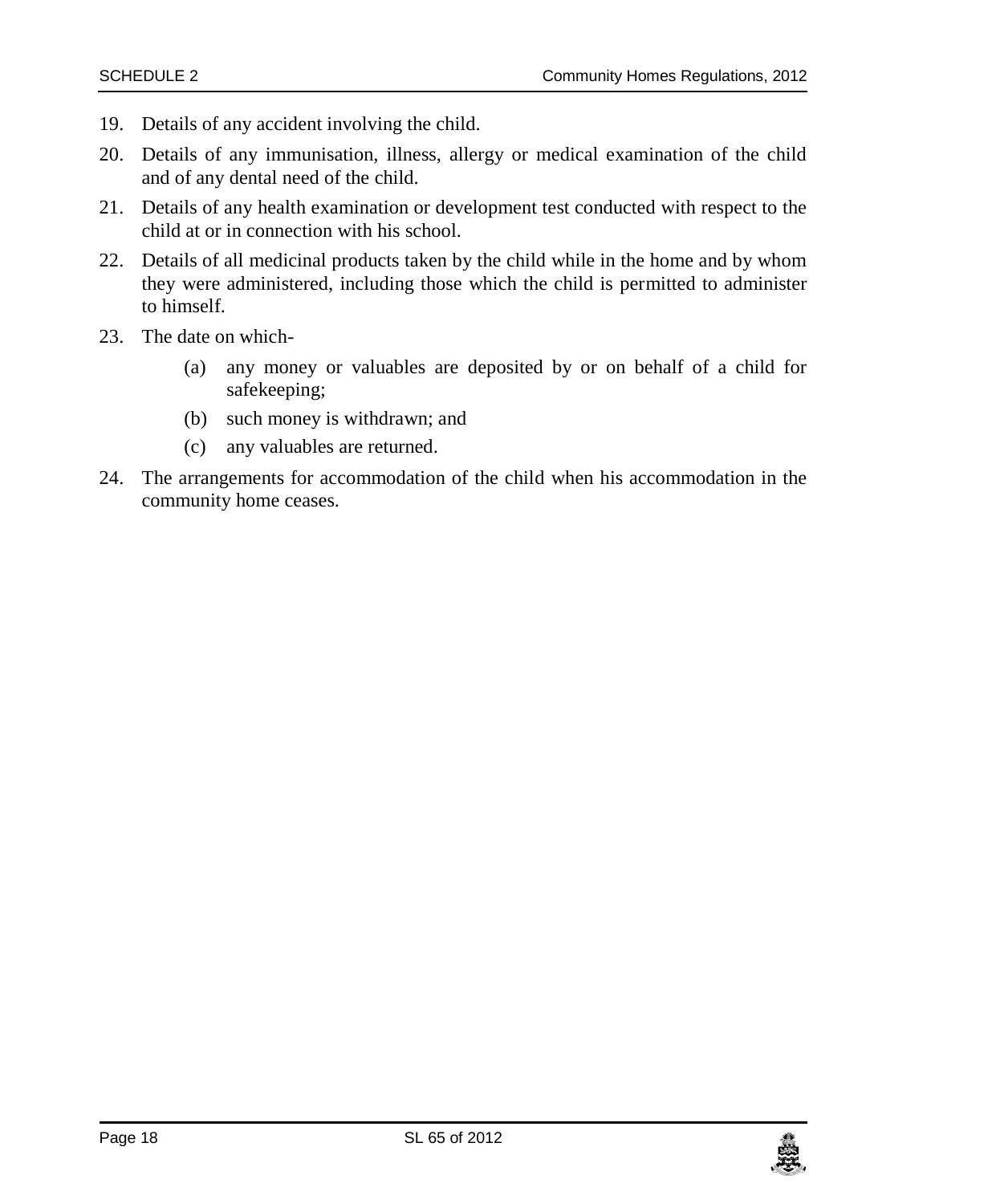- 19. Details of any accident involving the child.
- 20. Details of any immunisation, illness, allergy or medical examination of the child and of any dental need of the child.
- 21. Details of any health examination or development test conducted with respect to the child at or in connection with his school.
- 22. Details of all medicinal products taken by the child while in the home and by whom they were administered, including those which the child is permitted to administer to himself.
- 23. The date on which-
	- (a) any money or valuables are deposited by or on behalf of a child for safekeeping;
	- (b) such money is withdrawn; and
	- (c) any valuables are returned.
- 24. The arrangements for accommodation of the child when his accommodation in the community home ceases.

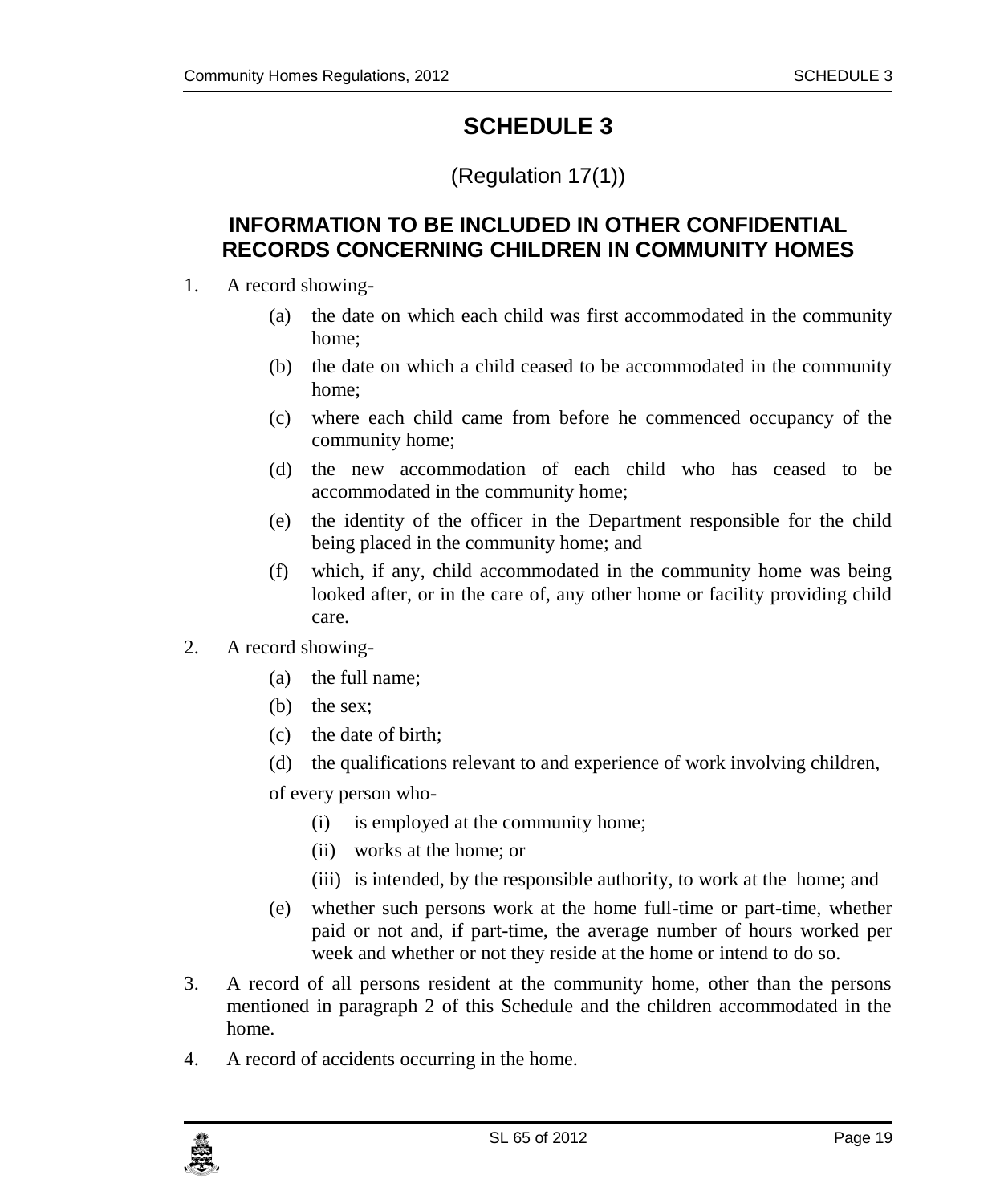# **SCHEDULE 3**

# (Regulation 17(1))

### <span id="page-18-1"></span><span id="page-18-0"></span>**INFORMATION TO BE INCLUDED IN OTHER CONFIDENTIAL RECORDS CONCERNING CHILDREN IN COMMUNITY HOMES**

- 1. A record showing-
	- (a) the date on which each child was first accommodated in the community home;
	- (b) the date on which a child ceased to be accommodated in the community home;
	- (c) where each child came from before he commenced occupancy of the community home;
	- (d) the new accommodation of each child who has ceased to be accommodated in the community home;
	- (e) the identity of the officer in the Department responsible for the child being placed in the community home; and
	- (f) which, if any, child accommodated in the community home was being looked after, or in the care of, any other home or facility providing child care.
- 2. A record showing-
	- (a) the full name;
	- (b) the sex;
	- (c) the date of birth;
	- (d) the qualifications relevant to and experience of work involving children,

of every person who-

- (i) is employed at the community home;
- (ii) works at the home; or
- (iii) is intended, by the responsible authority, to work at the home; and
- (e) whether such persons work at the home full-time or part-time, whether paid or not and, if part-time, the average number of hours worked per week and whether or not they reside at the home or intend to do so.
- 3. A record of all persons resident at the community home, other than the persons mentioned in paragraph 2 of this Schedule and the children accommodated in the home.
- 4. A record of accidents occurring in the home.